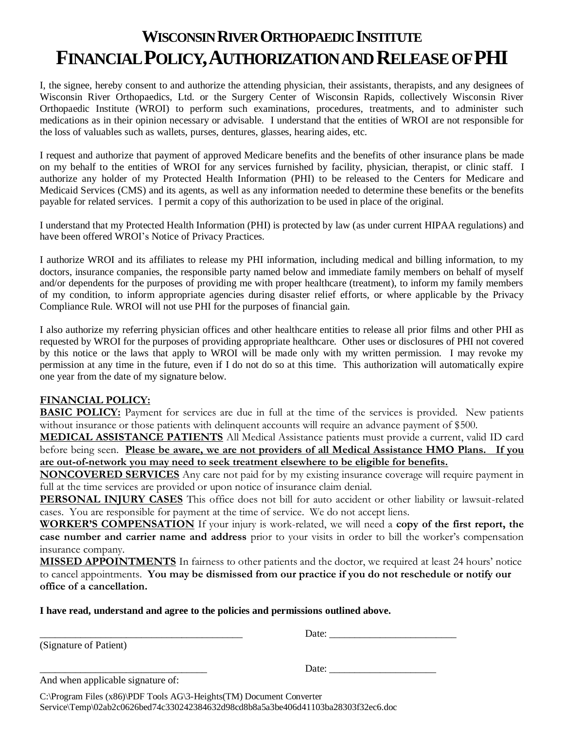## **WISCONSIN RIVER ORTHOPAEDIC INSTITUTE FINANCIAL POLICY,AUTHORIZATION AND RELEASE OF PHI**

I, the signee, hereby consent to and authorize the attending physician, their assistants, therapists, and any designees of Wisconsin River Orthopaedics, Ltd. or the Surgery Center of Wisconsin Rapids, collectively Wisconsin River Orthopaedic Institute (WROI) to perform such examinations, procedures, treatments, and to administer such medications as in their opinion necessary or advisable. I understand that the entities of WROI are not responsible for the loss of valuables such as wallets, purses, dentures, glasses, hearing aides, etc.

I request and authorize that payment of approved Medicare benefits and the benefits of other insurance plans be made on my behalf to the entities of WROI for any services furnished by facility, physician, therapist, or clinic staff. I authorize any holder of my Protected Health Information (PHI) to be released to the Centers for Medicare and Medicaid Services (CMS) and its agents, as well as any information needed to determine these benefits or the benefits payable for related services. I permit a copy of this authorization to be used in place of the original.

I understand that my Protected Health Information (PHI) is protected by law (as under current HIPAA regulations) and have been offered WROI's Notice of Privacy Practices.

I authorize WROI and its affiliates to release my PHI information, including medical and billing information, to my doctors, insurance companies, the responsible party named below and immediate family members on behalf of myself and/or dependents for the purposes of providing me with proper healthcare (treatment), to inform my family members of my condition, to inform appropriate agencies during disaster relief efforts, or where applicable by the Privacy Compliance Rule. WROI will not use PHI for the purposes of financial gain.

I also authorize my referring physician offices and other healthcare entities to release all prior films and other PHI as requested by WROI for the purposes of providing appropriate healthcare. Other uses or disclosures of PHI not covered by this notice or the laws that apply to WROI will be made only with my written permission. I may revoke my permission at any time in the future, even if I do not do so at this time. This authorization will automatically expire one year from the date of my signature below.

## **FINANCIAL POLICY:**

**BASIC POLICY:** Payment for services are due in full at the time of the services is provided. New patients without insurance or those patients with delinquent accounts will require an advance payment of \$500.

**MEDICAL ASSISTANCE PATIENTS** All Medical Assistance patients must provide a current, valid ID card before being seen. **Please be aware, we are not providers of all Medical Assistance HMO Plans. If you are out-of-network you may need to seek treatment elsewhere to be eligible for benefits.**

**NONCOVERED SERVICES** Any care not paid for by my existing insurance coverage will require payment in full at the time services are provided or upon notice of insurance claim denial.

**PERSONAL INJURY CASES** This office does not bill for auto accident or other liability or lawsuit-related cases. You are responsible for payment at the time of service. We do not accept liens.

**WORKER'S COMPENSATION** If your injury is work-related, we will need a **copy of the first report, the case number and carrier name and address** prior to your visits in order to bill the worker's compensation insurance company.

**MISSED APPOINTMENTS** In fairness to other patients and the doctor, we required at least 24 hours' notice to cancel appointments. **You may be dismissed from our practice if you do not reschedule or notify our office of a cancellation.**

## **I have read, understand and agree to the policies and permissions outlined above.**

(Signature of Patient)

\_\_\_\_\_\_\_\_\_\_\_\_\_\_\_\_\_\_\_\_\_\_\_\_\_\_\_\_\_\_\_\_\_\_\_\_\_\_\_\_ Date: \_\_\_\_\_\_\_\_\_\_\_\_\_\_\_\_\_\_\_\_\_\_\_\_\_

\_\_\_\_\_\_\_\_\_\_\_\_\_\_\_\_\_\_\_\_\_\_\_\_\_\_\_\_\_\_\_\_\_ Date: \_\_\_\_\_\_\_\_\_\_\_\_\_\_\_\_\_\_\_\_\_

And when applicable signature of:

C:\Program Files (x86)\PDF Tools AG\3-Heights(TM) Document Converter Service\Temp\02ab2c0626bed74c330242384632d98cd8b8a5a3be406d41103ba28303f32ec6.doc